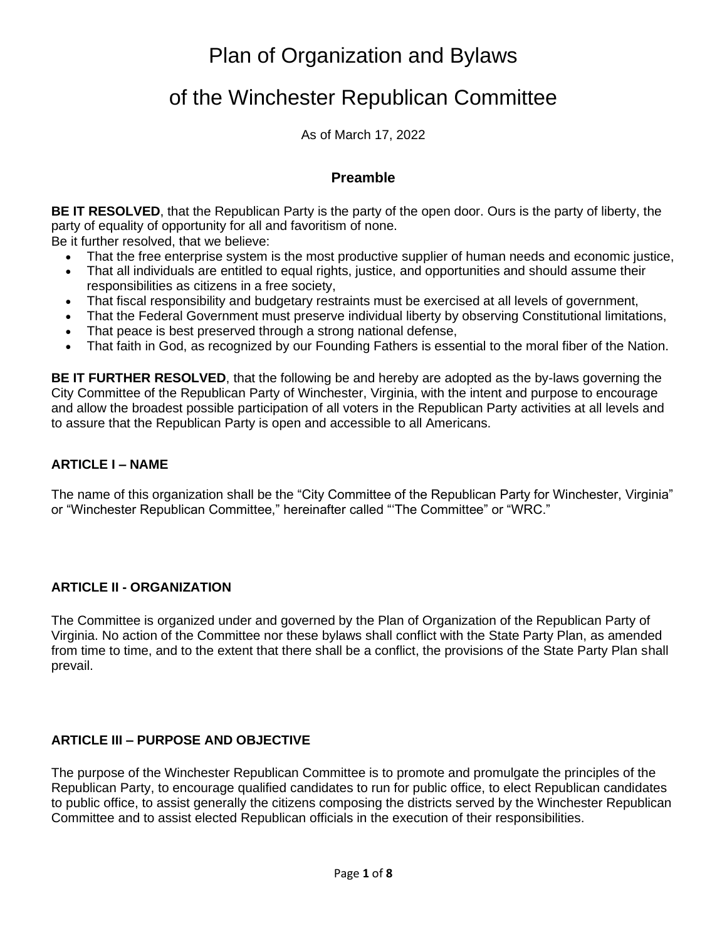Plan of Organization and Bylaws

# of the Winchester Republican Committee

As of March 17, 2022

## **Preamble**

**BE IT RESOLVED**, that the Republican Party is the party of the open door. Ours is the party of liberty, the party of equality of opportunity for all and favoritism of none.

Be it further resolved, that we believe:

- That the free enterprise system is the most productive supplier of human needs and economic justice,
- That all individuals are entitled to equal rights, justice, and opportunities and should assume their responsibilities as citizens in a free society,
- That fiscal responsibility and budgetary restraints must be exercised at all levels of government,
- That the Federal Government must preserve individual liberty by observing Constitutional limitations,
- That peace is best preserved through a strong national defense,
- That faith in God, as recognized by our Founding Fathers is essential to the moral fiber of the Nation.

**BE IT FURTHER RESOLVED**, that the following be and hereby are adopted as the by-laws governing the City Committee of the Republican Party of Winchester, Virginia, with the intent and purpose to encourage and allow the broadest possible participation of all voters in the Republican Party activities at all levels and to assure that the Republican Party is open and accessible to all Americans.

### **ARTICLE I – NAME**

The name of this organization shall be the "City Committee of the Republican Party for Winchester, Virginia" or "Winchester Republican Committee," hereinafter called "'The Committee" or "WRC."

# **ARTICLE II - ORGANIZATION**

The Committee is organized under and governed by the Plan of Organization of the Republican Party of Virginia. No action of the Committee nor these bylaws shall conflict with the State Party Plan, as amended from time to time, and to the extent that there shall be a conflict, the provisions of the State Party Plan shall prevail.

# **ARTICLE III – PURPOSE AND OBJECTIVE**

The purpose of the Winchester Republican Committee is to promote and promulgate the principles of the Republican Party, to encourage qualified candidates to run for public office, to elect Republican candidates to public office, to assist generally the citizens composing the districts served by the Winchester Republican Committee and to assist elected Republican officials in the execution of their responsibilities.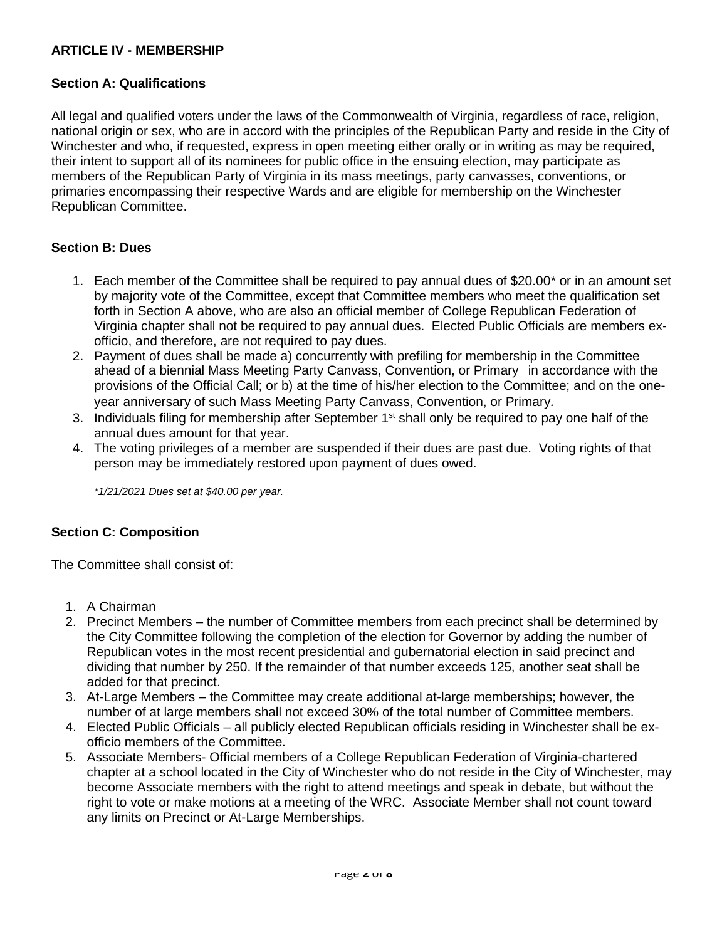## **ARTICLE IV - MEMBERSHIP**

#### **Section A: Qualifications**

All legal and qualified voters under the laws of the Commonwealth of Virginia, regardless of race, religion, national origin or sex, who are in accord with the principles of the Republican Party and reside in the City of Winchester and who, if requested, express in open meeting either orally or in writing as may be required, their intent to support all of its nominees for public office in the ensuing election, may participate as members of the Republican Party of Virginia in its mass meetings, party canvasses, conventions, or primaries encompassing their respective Wards and are eligible for membership on the Winchester Republican Committee.

#### **Section B: Dues**

- 1. Each member of the Committee shall be required to pay annual dues of \$20.00\* or in an amount set by majority vote of the Committee, except that Committee members who meet the qualification set forth in Section A above, who are also an official member of College Republican Federation of Virginia chapter shall not be required to pay annual dues. Elected Public Officials are members exofficio, and therefore, are not required to pay dues.
- 2. Payment of dues shall be made a) concurrently with prefiling for membership in the Committee ahead of a biennial Mass Meeting Party Canvass, Convention, or Primaryin accordance with the provisions of the Official Call; or b) at the time of his/her election to the Committee; and on the oneyear anniversary of such Mass Meeting Party Canvass, Convention, or Primary*.*
- 3. Individuals filing for membership after September 1<sup>st</sup> shall only be required to pay one half of the annual dues amount for that year.
- 4. The voting privileges of a member are suspended if their dues are past due. Voting rights of that person may be immediately restored upon payment of dues owed.

*\*1/21/2021 Dues set at \$40.00 per year.*

#### **Section C: Composition**

The Committee shall consist of:

- 1. A Chairman
- 2. Precinct Members the number of Committee members from each precinct shall be determined by the City Committee following the completion of the election for Governor by adding the number of Republican votes in the most recent presidential and gubernatorial election in said precinct and dividing that number by 250. If the remainder of that number exceeds 125, another seat shall be added for that precinct.
- 3. At-Large Members the Committee may create additional at-large memberships; however, the number of at large members shall not exceed 30% of the total number of Committee members.
- 4. Elected Public Officials all publicly elected Republican officials residing in Winchester shall be exofficio members of the Committee.
- 5. Associate Members- Official members of a College Republican Federation of Virginia-chartered chapter at a school located in the City of Winchester who do not reside in the City of Winchester, may become Associate members with the right to attend meetings and speak in debate, but without the right to vote or make motions at a meeting of the WRC. Associate Member shall not count toward any limits on Precinct or At-Large Memberships.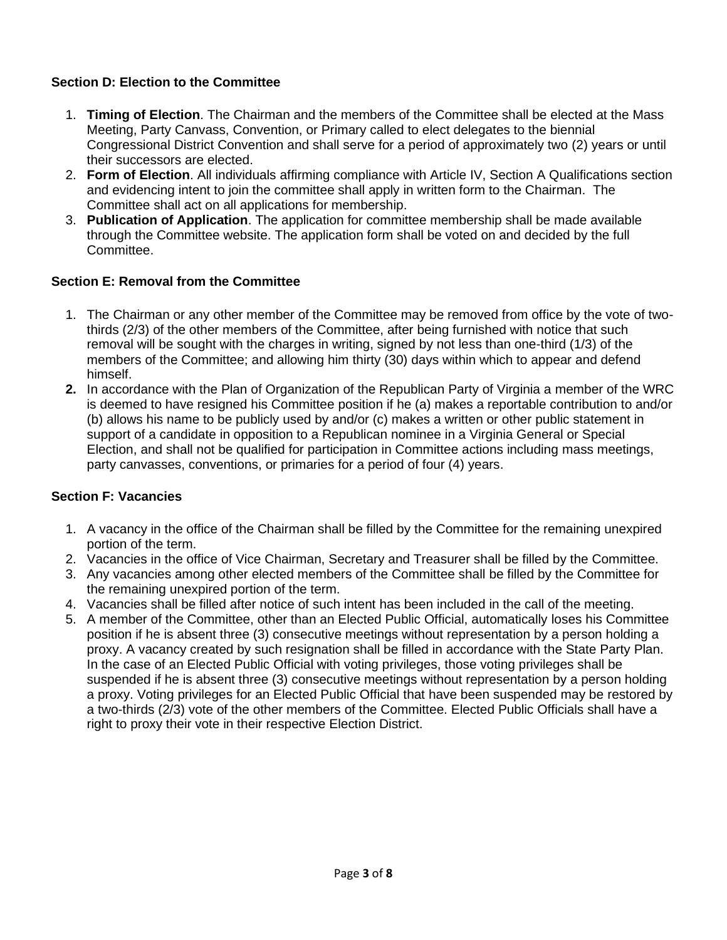# **Section D: Election to the Committee**

- 1. **Timing of Election**. The Chairman and the members of the Committee shall be elected at the Mass Meeting, Party Canvass, Convention, or Primary called to elect delegates to the biennial Congressional District Convention and shall serve for a period of approximately two (2) years or until their successors are elected.
- 2. **Form of Election**. All individuals affirming compliance with Article IV, Section A Qualifications section and evidencing intent to join the committee shall apply in written form to the Chairman. The Committee shall act on all applications for membership.
- 3. **Publication of Application**. The application for committee membership shall be made available through the Committee website. The application form shall be voted on and decided by the full Committee.

# **Section E: Removal from the Committee**

- 1. The Chairman or any other member of the Committee may be removed from office by the vote of twothirds (2/3) of the other members of the Committee, after being furnished with notice that such removal will be sought with the charges in writing, signed by not less than one-third (1/3) of the members of the Committee; and allowing him thirty (30) days within which to appear and defend himself.
- **2.** In accordance with the Plan of Organization of the Republican Party of Virginia a member of the WRC is deemed to have resigned his Committee position if he (a) makes a reportable contribution to and/or (b) allows his name to be publicly used by and/or (c) makes a written or other public statement in support of a candidate in opposition to a Republican nominee in a Virginia General or Special Election, and shall not be qualified for participation in Committee actions including mass meetings, party canvasses, conventions, or primaries for a period of four (4) years.

# **Section F: Vacancies**

- 1. A vacancy in the office of the Chairman shall be filled by the Committee for the remaining unexpired portion of the term.
- 2. Vacancies in the office of Vice Chairman, Secretary and Treasurer shall be filled by the Committee.
- 3. Any vacancies among other elected members of the Committee shall be filled by the Committee for the remaining unexpired portion of the term.
- 4. Vacancies shall be filled after notice of such intent has been included in the call of the meeting.
- 5. A member of the Committee, other than an Elected Public Official, automatically loses his Committee position if he is absent three (3) consecutive meetings without representation by a person holding a proxy. A vacancy created by such resignation shall be filled in accordance with the State Party Plan. In the case of an Elected Public Official with voting privileges, those voting privileges shall be suspended if he is absent three (3) consecutive meetings without representation by a person holding a proxy. Voting privileges for an Elected Public Official that have been suspended may be restored by a two-thirds (2/3) vote of the other members of the Committee. Elected Public Officials shall have a right to proxy their vote in their respective Election District.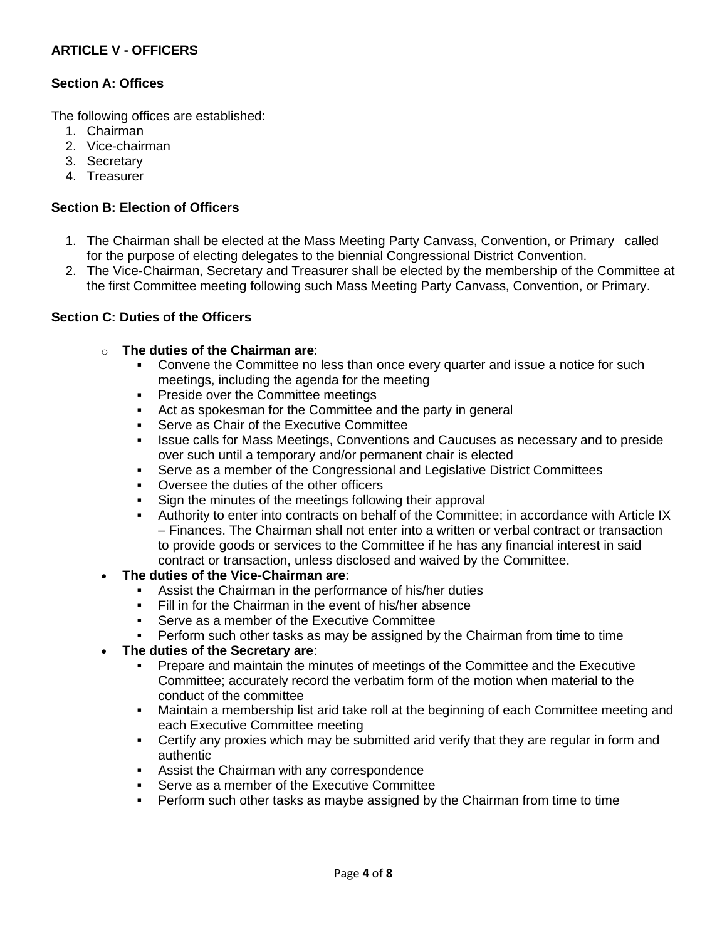# **ARTICLE V - OFFICERS**

#### **Section A: Offices**

The following offices are established:

- 1. Chairman
- 2. Vice-chairman
- 3. Secretary
- 4. Treasurer

#### **Section B: Election of Officers**

- 1. The Chairman shall be elected at the Mass Meeting Party Canvass, Convention, or Primarycalled for the purpose of electing delegates to the biennial Congressional District Convention.
- 2. The Vice-Chairman, Secretary and Treasurer shall be elected by the membership of the Committee at the first Committee meeting following such Mass Meeting Party Canvass, Convention, or Primary.

#### **Section C: Duties of the Officers**

- o **The duties of the Chairman are**:
	- Convene the Committee no less than once every quarter and issue a notice for such meetings, including the agenda for the meeting
	- Preside over the Committee meetings
	- Act as spokesman for the Committee and the party in general
	- Serve as Chair of the Executive Committee
	- **Issue calls for Mass Meetings, Conventions and Caucuses as necessary and to preside** over such until a temporary and/or permanent chair is elected
	- Serve as a member of the Congressional and Legislative District Committees
	- Oversee the duties of the other officers
	- Sign the minutes of the meetings following their approval
	- Authority to enter into contracts on behalf of the Committee; in accordance with Article IX – Finances. The Chairman shall not enter into a written or verbal contract or transaction to provide goods or services to the Committee if he has any financial interest in said contract or transaction, unless disclosed and waived by the Committee.
- **The duties of the Vice-Chairman are**:
	- **EXEC** Assist the Chairman in the performance of his/her duties
	- **Example 1** Fill in for the Chairman in the event of his/her absence
	- Serve as a member of the Executive Committee
	- **•** Perform such other tasks as may be assigned by the Chairman from time to time

#### • **The duties of the Secretary are**:

- Prepare and maintain the minutes of meetings of the Committee and the Executive Committee; accurately record the verbatim form of the motion when material to the conduct of the committee
- Maintain a membership list arid take roll at the beginning of each Committee meeting and each Executive Committee meeting
- Certify any proxies which may be submitted arid verify that they are regular in form and authentic
- Assist the Chairman with any correspondence
- Serve as a member of the Executive Committee
- Perform such other tasks as maybe assigned by the Chairman from time to time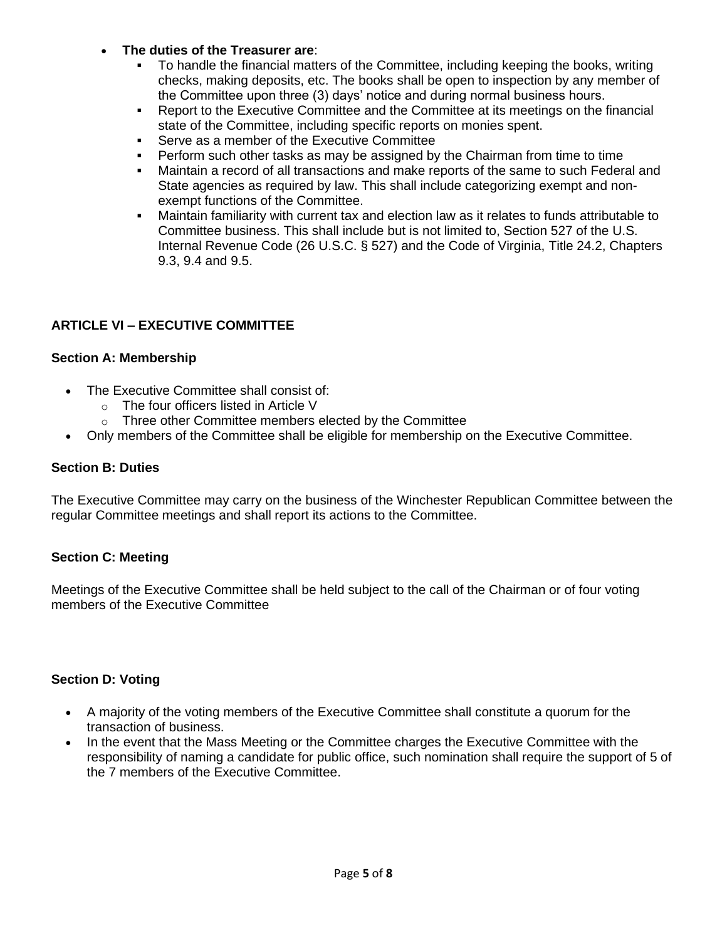- **The duties of the Treasurer are**:
	- To handle the financial matters of the Committee, including keeping the books, writing checks, making deposits, etc. The books shall be open to inspection by any member of the Committee upon three (3) days' notice and during normal business hours.
	- Report to the Executive Committee and the Committee at its meetings on the financial state of the Committee, including specific reports on monies spent.
	- Serve as a member of the Executive Committee
	- **•** Perform such other tasks as may be assigned by the Chairman from time to time
	- Maintain a record of all transactions and make reports of the same to such Federal and State agencies as required by law. This shall include categorizing exempt and nonexempt functions of the Committee.
	- Maintain familiarity with current tax and election law as it relates to funds attributable to Committee business. This shall include but is not limited to, Section 527 of the U.S. Internal Revenue Code (26 U.S.C. § 527) and the Code of Virginia, Title 24.2, Chapters 9.3, 9.4 and 9.5.

# **ARTICLE VI – EXECUTIVE COMMITTEE**

### **Section A: Membership**

- The Executive Committee shall consist of:
	- o The four officers listed in Article V
	- o Three other Committee members elected by the Committee
- Only members of the Committee shall be eligible for membership on the Executive Committee.

#### **Section B: Duties**

The Executive Committee may carry on the business of the Winchester Republican Committee between the regular Committee meetings and shall report its actions to the Committee.

# **Section C: Meeting**

Meetings of the Executive Committee shall be held subject to the call of the Chairman or of four voting members of the Executive Committee

# **Section D: Voting**

- A majority of the voting members of the Executive Committee shall constitute a quorum for the transaction of business.
- In the event that the Mass Meeting or the Committee charges the Executive Committee with the responsibility of naming a candidate for public office, such nomination shall require the support of 5 of the 7 members of the Executive Committee.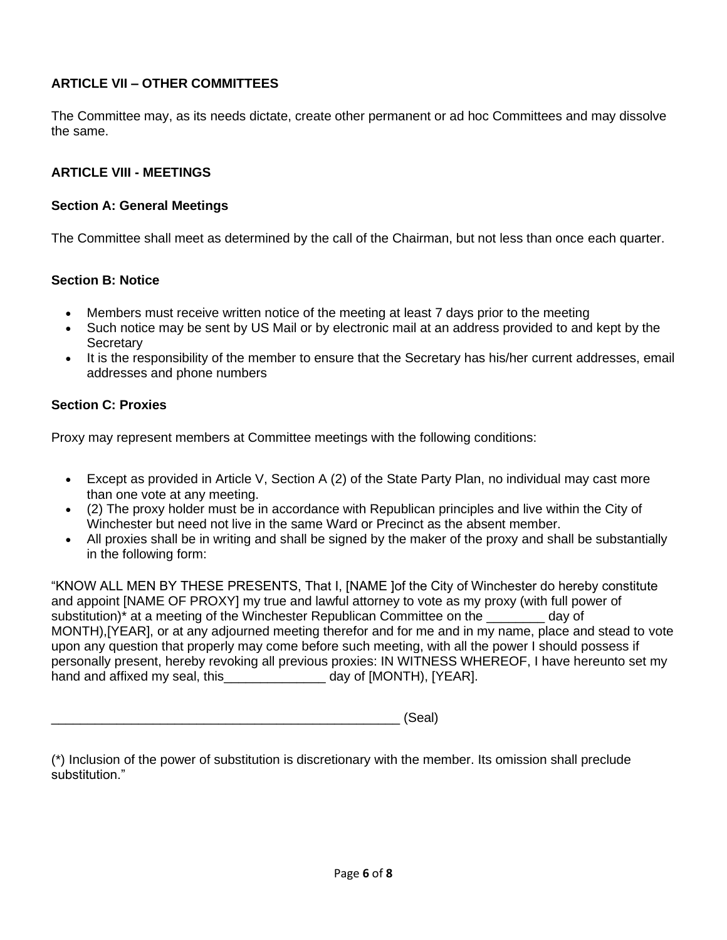# **ARTICLE VII – OTHER COMMITTEES**

The Committee may, as its needs dictate, create other permanent or ad hoc Committees and may dissolve the same.

# **ARTICLE VIII - MEETINGS**

## **Section A: General Meetings**

The Committee shall meet as determined by the call of the Chairman, but not less than once each quarter.

### **Section B: Notice**

- Members must receive written notice of the meeting at least 7 days prior to the meeting
- Such notice may be sent by US Mail or by electronic mail at an address provided to and kept by the **Secretary**
- It is the responsibility of the member to ensure that the Secretary has his/her current addresses, email addresses and phone numbers

# **Section C: Proxies**

Proxy may represent members at Committee meetings with the following conditions:

- Except as provided in Article V, Section A (2) of the State Party Plan, no individual may cast more than one vote at any meeting.
- (2) The proxy holder must be in accordance with Republican principles and live within the City of Winchester but need not live in the same Ward or Precinct as the absent member.
- All proxies shall be in writing and shall be signed by the maker of the proxy and shall be substantially in the following form:

"KNOW ALL MEN BY THESE PRESENTS, That I, [NAME ]of the City of Winchester do hereby constitute and appoint [NAME OF PROXY] my true and lawful attorney to vote as my proxy (with full power of substitution)<sup>\*</sup> at a meeting of the Winchester Republican Committee on the day of MONTH),[YEAR], or at any adjourned meeting therefor and for me and in my name, place and stead to vote upon any question that properly may come before such meeting, with all the power I should possess if personally present, hereby revoking all previous proxies: IN WITNESS WHEREOF, I have hereunto set my hand and affixed my seal, this\_\_\_\_\_\_\_\_\_\_\_\_\_\_\_\_ day of [MONTH), [YEAR].

|--|--|

|                | (*) Inclusion of the power of substitution is discretionary with the member. Its omission shall preclude |  |  |
|----------------|----------------------------------------------------------------------------------------------------------|--|--|
| substitution." |                                                                                                          |  |  |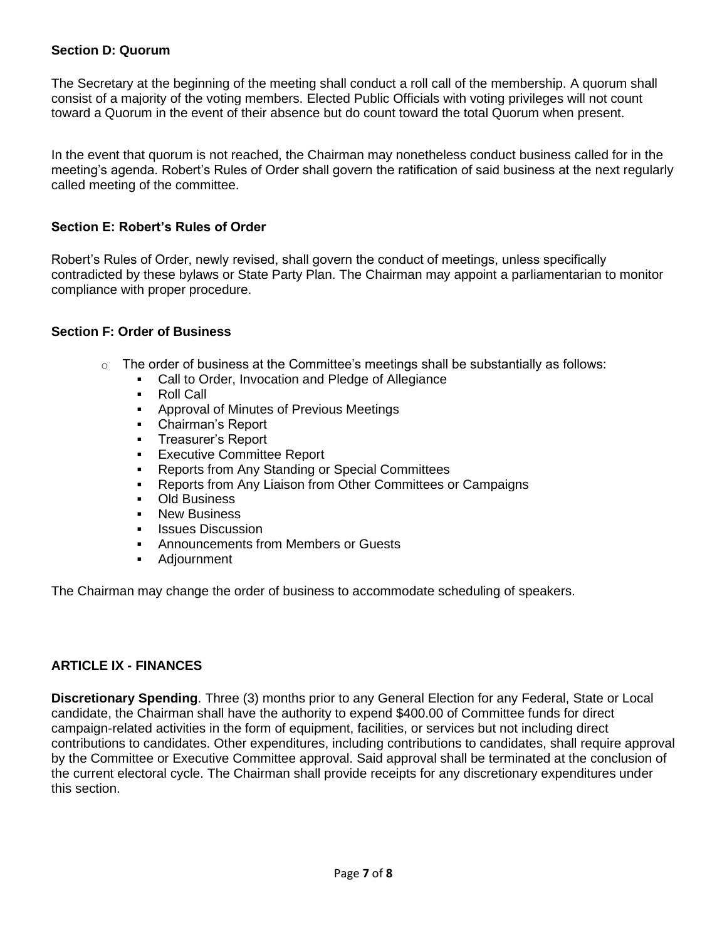#### **Section D: Quorum**

The Secretary at the beginning of the meeting shall conduct a roll call of the membership. A quorum shall consist of a majority of the voting members. Elected Public Officials with voting privileges will not count toward a Quorum in the event of their absence but do count toward the total Quorum when present.

In the event that quorum is not reached, the Chairman may nonetheless conduct business called for in the meeting's agenda. Robert's Rules of Order shall govern the ratification of said business at the next regularly called meeting of the committee.

#### **Section E: Robert's Rules of Order**

Robert's Rules of Order, newly revised, shall govern the conduct of meetings, unless specifically contradicted by these bylaws or State Party Plan. The Chairman may appoint a parliamentarian to monitor compliance with proper procedure.

#### **Section F: Order of Business**

- $\circ$  The order of business at the Committee's meetings shall be substantially as follows:
	- Call to Order, Invocation and Pledge of Allegiance
	- Roll Call
	- Approval of Minutes of Previous Meetings
	- Chairman's Report
	- Treasurer's Report
	- Executive Committee Report
	- Reports from Any Standing or Special Committees
	- Reports from Any Liaison from Other Committees or Campaigns
	- Old Business
	- **New Business**
	- **Issues Discussion**
	- Announcements from Members or Guests
	- Adjournment

The Chairman may change the order of business to accommodate scheduling of speakers.

#### **ARTICLE IX - FINANCES**

**Discretionary Spending**. Three (3) months prior to any General Election for any Federal, State or Local candidate, the Chairman shall have the authority to expend \$400.00 of Committee funds for direct campaign-related activities in the form of equipment, facilities, or services but not including direct contributions to candidates. Other expenditures, including contributions to candidates, shall require approval by the Committee or Executive Committee approval. Said approval shall be terminated at the conclusion of the current electoral cycle. The Chairman shall provide receipts for any discretionary expenditures under this section.